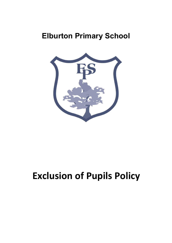# **Elburton Primary School**



# **Exclusion of Pupils Policy**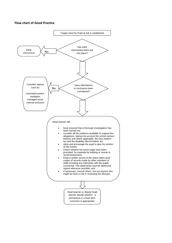# **Flow chart of Good Practice**

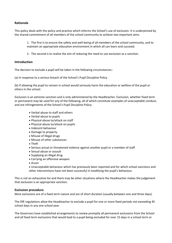# **Rationale**

This policy deals with the policy and practice which informs the School's use of exclusion. It is underpinned by the shared commitment of all members of the school community to achieve two important aims:

1. The first is to ensure the safety and well-being of all members of the school community, and to maintain an appropriate education environment in which all can learn and succeed;

2. The second is to realise the aim of reducing the need to use exclusion as a sanction.

## **Introduction**

The decision to exclude a pupil will be taken in the following circumstances:-

(a) In response to a serious breach of the School's Pupil Discipline Policy

(b) If allowing the pupil to remain in school would seriously harm the education or welfare of the pupil or others in the school.

Exclusion is an extreme sanction and is only administered by the Headteacher. Exclusion, whether fixed term or permanent may be used for any of the following, all of which constitute examples of unacceptable conduct, and are infringements of the School's Pupil Discipline Policy:

- Verbal abuse to staff and others
- Verbal abuse to pupils
- Physical abuse to/attack on staff
- Physical abuse to/attack on pupils
- Indecent behaviour
- Damage to property
- Misuse of illegal drugs
- Misuse of other substances
- **a** Theft
- Serious actual or threatened violence against another pupil or a member of staff
- Sexual abuse or assault
- Supplying an illegal drug
- Carrying an offensive weapon
- Arson

 Unacceptable behaviour which has previously been reported and for which school sanctions and other interventions have not been successful in modifying the pupil's behaviour.

This is not an exhaustive list and there may be other situations where the Headteacher makes the judgement that exclusion is an appropriate sanction.

#### **Exclusion procedure**

Most exclusions are of a fixed term nature and are of short duration (usually between one and three days).

The DfE regulations allow the Headteacher to exclude a pupil for one or more fixed periods not exceeding 45 school days in any one school year.

The Governors have established arrangements to review promptly all permanent exclusions from the School and all fixed term exclusions that would lead to a pupil being excluded for over 15 days in a school term or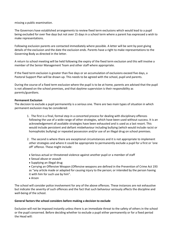missing a public examination.

The Governors have established arrangements to review fixed term exclusions which would lead to a pupil being excluded for over five days but not over 15 days in a school term where a parent has expressed a wish to make representations.

Following exclusion parents are contacted immediately where possible. A letter will be sent by post giving details of the exclusion and the date the exclusion ends. Parents have a right to make representations to the Governing Body as directed in the letter.

A return to school meeting will be held following the expiry of the fixed term exclusion and this will involve a member of the Senior Management Team and other staff where appropriate.

If the fixed term exclusion is greater than five days or an accumulation of exclusions exceed five days, a Pastoral Support Plan will be drawn up. This needs to be agreed with the school, pupil and parents.

During the course of a fixed term exclusion where the pupil is to be at home, parents are advised that the pupil is not allowed on the school premises, and that daytime supervision is their responsibility as parents/guardians.

#### **Permanent Exclusion**

The decision to exclude a pupil permanently is a serious one. There are two main types of situation in which permanent exclusion may be considered:

- 1. The first is a final, formal step in a concerted process for dealing with disciplinary offences following the use of a wide range of other strategies, which have been used without success. It is an acknowledgement all available strategies have been exhausted and is used as a last resort. This would include persistent and defiant misbehaviour including bullying (which would include racist or homophobic bullying) or repeated possession and/or use of an illegal drug on school premises.
- 2. The second is where there are exceptional circumstances and it is not appropriate to implement other strategies and where it could be appropriate to permanently exclude a pupil for a first or 'one off' offence. These might include:
	- Serious actual or threatened violence against another pupil or a member of staff
	- Sexual abuse or assault
	- Supplying an illegal drug
	- Carrying an Offensive Weapon (Offensive weapons are defined in the Prevention of Crime Act 193 as "any article made or adapted for causing injury to the person; or intended by the person having it with him for such use by him".
	- Arson

The school will consider police involvement for any of the above offences. These instances are not exhaustive but indicate the severity of such offences and the fact that such behaviour seriously affects the discipline and well-being of the school.

#### **General factors the school considers before making a decision to exclude**

Exclusion will not be imposed instantly unless there is an immediate threat to the safety of others in the school or the pupil concerned. Before deciding whether to exclude a pupil either permanently or for a fixed period the Head will: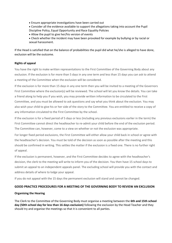- Ensure appropriate investigations have been carried out
- Consider all the evidence available to support the allegations taking into account the Pupil Discipline Policy, Equal Opportunity and Race Equality Policies
- Allow the pupil to give her/his version of events
- Check whether the incident may have been provoked for example by bullying or by racial or sexual harassment.

If the Head is satisfied that on the balance of probabilities the pupil did what he/she is alleged to have done, exclusion will be the outcome.

# **Rights of appeal**

You have the right to make written representations to the First Committee of the Governing Body about any exclusion. If the exclusion is for more than 5 days in any one term and less than 15 days you can ask to attend a meeting of the Committee when the exclusion will be considered.

If the exclusion is for more than 15 days in any one term then you will be invited to a meeting of the Governors First Committee where the exclusion(s) will be reviewed. The school will let you know the details. You can take a friend along to help you if you wish, you may provide written information to be circulated to the First Committee, and you must be allowed to ask questions and say what you think about the exclusion. You may also wish your child to give his or her side of the story to the Committee. You are entitled to receive a copy of any information circulated to the First Committee by the school.

If the exclusion is for a fixed period of 5 days or less (including any previous exclusions earlier in the term) the First Committee cannot direct the headteacher to re-admit your child before the end of the exclusion period. The Committee can, however, come to a view on whether or not the exclusion was appropriate.

For longer fixed period exclusions, the First Committee will either allow your child back in school or agree with the headteacher's decision. You must be told of the decision as soon as possible after the meeting and this should be confirmed in writing. This settles the matter if the exclusion is a fixed one. There is no further right of appeal.

If the exclusion is permanent, however, and the First Committee decides to agree with the headteacher's decision, the clerk to the meeting will write to inform you of the decision. You then have 15 school days to submit an appeal to an independent appeals panel. The excluding school will provide you with the contact and address details of where to lodge your appeal.

If you do not appeal with the 15 days the permanent exclusion will stand and cannot be changed.

# **GOOD PRACTICE PROCEDURES FOR A MEETING OF THE GOVERNING BODY TO REVIEW AN EXCLUSION**

# **Organising the Hearing**

The Clerk to the Committee of the Governing Body must organise a meeting between the **6th and 15th school day (50th school day for less than 16 days exclusion)** following the exclusion by the Head Teacher and they should try and organise the meetings so that it is convenient to all parties.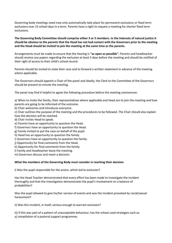Governing body meetings need now only automatically take place for permanent exclusions or fixed term exclusions over 15 school days in a term. Parents have a right to request a meeting for shorter fixed term exclusions.

**The Governing Body Committee should comprise either 3 or 5 members. In the interests of natural justice it should be obvious to the parents that the Head has not had contact with the Governors prior to the meeting and the Head should be invited to join the meeting at the same time as the parents.** 

Arrangements must be made to ensure that the hearing is **"as open as possible".** Parents and headteacher should receive any papers regarding the exclusion at least 5 days before the meeting and should be notified of their right of access to their child's school record.

Parents should be invited to state their case and to forward a written statement in advance of the meeting where applicable.

The Governors should appoint a Chair of the panel and ideally, the Clerk to the Committee of the Governors should be present to minute the meeting.

The panel may find it helpful to agree the following procedure before the meeting commences:

a) When to invite the family, their representatives where applicable and Head are to join the meeting and how parents are going to be informed of the outcome.

b) Chair welcomes and introduces everyone.

c) Chair outlines the purpose of the meeting and the procedures to be followed. The Chair should also explain how the decision will be reached.

- d) Chair invites Head to speak.
- e) Parents have an opportunity to question the Head.
- f) Governors have an opportunity to question the Head.
- g) Family invited to put the case on behalf of the pupil.
- h) Head has an opportunity to question the family.
- i) Governors have an opportunity to question the family.
- j) Opportunity for final comments from the Head.
- k) Opportunity for final comments from the family.
- l) Family and headteacher leave the meeting.
- m) Governors discuss and reach a decision.

#### **What the members of the Governing Body must consider in reaching their decision**

i) Was the pupil responsible for the action, which led to exclusion?

Has the Head Teacher demonstrated that every effort has been made to investigate the incident thoroughly and that the investigation demonstrates the pupil's involvement on a balance of probabilities?

Was the pupil allowed to give his/her version of events and was the incident provoked by racial/sexual harassment?

ii) Was this incident, in itself, serious enough to warrant exclusion?

iii) If this was part of a pattern of unacceptable behaviour, has the school used strategies such as: a) compilation of a pastoral support programme;